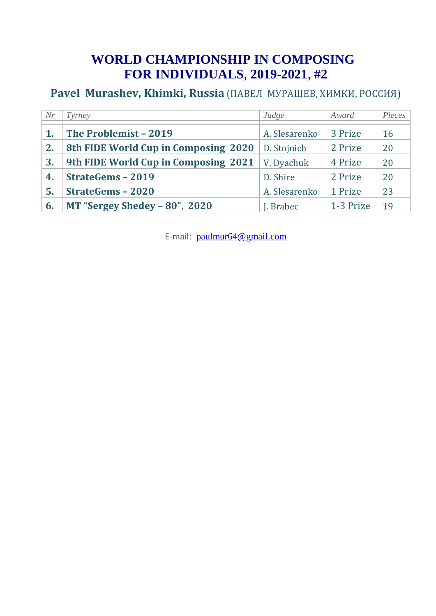# **WORLD CHAMPIONSHIP IN COMPOSING FOR INDIVIDUALS**, **2019-2021**, **#2**

## **Pavel Murashev, Khimki, Russia** (ПАВЕЛ МУРАШЕВ, ХИМКИ, РОССИЯ)

| Nr | Tyrney                               | Judge         | Award     | Pieces |
|----|--------------------------------------|---------------|-----------|--------|
|    | The Problemist - 2019                | A. Slesarenko | 3 Prize   | 16     |
| 2. | 8th FIDE World Cup in Composing 2020 | D. Stojnich   | 2 Prize   | 20     |
| 3. | 9th FIDE World Cup in Composing 2021 | V. Dyachuk    | 4 Prize   | 20     |
| 4. | <b>StrateGems - 2019</b>             | D. Shire      | 2 Prize   | 20     |
| 5. | <b>StrateGems - 2020</b>             | A. Slesarenko | 1 Prize   | 23     |
| 6. | MT "Sergey Shedey $-80$ ", 2020      | J. Brabec     | 1-3 Prize | 19     |

E-mail: paulmur64@gmail.com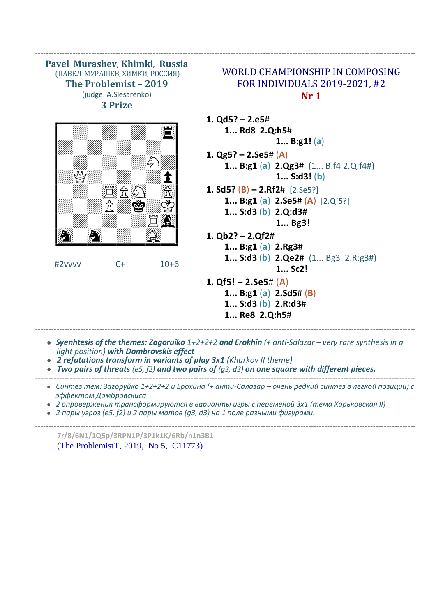**Pavel Murashev**, **Khimki**, **Russia** (ПАВЕЛ МУРАШЕВ, ХИМКИ, РОССИЯ) **The Problemist – 2019** (judge: A.Slesarenko) **3 Prize**



#2vvvv C+ 10+6

## WORLD CHAMPIONSHIP IN COMPOSING FOR INDIVIDUALS 2019-2021, #2 **Nr 1**

-----------------------------------------------------------------------------------------------

**1. Qd5? – 2.e5**#  **1... Rd8 2.Q:h5**#  **1... B:g1!** (**a**) **1. Qg5? – 2.Se5**# (**A**)  **1... B:g1** (**a**) **2.Qg3**# (1... B:f4 2.Q:f4#) **1... S:d3!** (**b**) **1. Sd5?** (**B**) **– 2.Rf2**# [2.Se5?]  **1... B:g1** (**a**) **2.Se5**# (**A**)[2.Qf5?]  **1... S:d3** (**b**) **2.Q:d3**#

**1... Bg3!**

- **1. Qb2? – 2.Qf2**#
	- **1... B:g1** (**a**) **2.Rg3**#
		- **1... S:d3** (**b**) **2.Qe2**# (1... Bg3 2.R:g3#) **1... Sc2!**
- **1. Qf5! – 2.Se5**# (**A**)
	- **1... B:g1** (**a**) **2.Sd5**# (**B**)
	- **1... S:d3** (**b**) **2.R:d3**#
	- **1... Re8 2.Q:h5**#
- *Syenhtesis of the themes: Zagoruiko 1+2+2+2 and Erokhin (+ anti-Salazar – very rare synthesis in a light position) with Dombrovskis effect*

----------------------------------------------------------------------------------------------------------------------------------------------

----------------------------------------------------------------------------------------------------------------------------------------------

- *● 2 refutations transform in variants of play 3x1 (Kharkov II theme)*
- *● Two pairs of threats (e5, f2) and two pairs of (g3, d3) on one square with different pieces.* ----------------------------------------------------------------------------------------------------------------------------------------------
	- *● Синтез тем: Загоруйко 1+2+2+2 и Ерохина (+ анти-Салазар – очень редкий синтез в лёгкой позиции) с эффектом Домбровскиса*
	- *2 опровержения трансформируются в варианты игры с переменой 3х1 (тема Харьковская II)*
	- *● 2 пары угроз (e5, f2) и 2 пары матов (g3, d3) на 1 поле разными фигурами.*

---------------------------------------------------------------------------------------------------------------------------------------------- **7r/8/6N1/1Q5p/3RPN1P/3P1k1K/6Rb/n1n3B1** (The ProblemistT, 2019, No 5, C11773)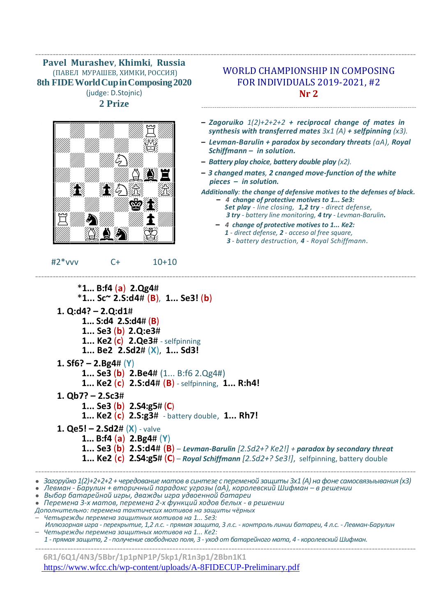#### ---------------------------------------------------------------------------------------------------------------------------------- **Pavel Murashev**, **Khimki**, **Russia** (ПАВЕЛ МУРАШЕВ, ХИМКИ, РОССИЯ) **8th FIDEWorldCupinComposing2020** (judge: D.Stojnic) **2 Prize**



#2\*vvv C+ 10+10

### WORLD CHAMPIONSHIP IN COMPOSING FOR INDIVIDUALS 2019-2021, #2 **Nr 2**

--------------------------------------------------------------------------------------------------

- **–** *Zagoruiko 1(2)+2+2+2 + reciprocal change of mates in synthesis with transferred mates 3x1 (A) + selfpinning (x3).*
- **–** *Levman-Barulin + paradox by secondary threats (aA), Royal Schiffmann – in solution.*
- **–** *Battery play choice, battery double play (x2).*
- **–** *3 сhanged mates, 2 cnanged move-function of the white pieces – in solution.*
- *Additionally: the change of defensive motives to the defenses of black.* **–** *4 change of protective motives to 1... Se3:*
	- *Set play - line closing, 1,2 try - direct defense, 3 try - battery line monitoring, 4 try - Levman-Barulin.*
	- **–** *4 change of protective motives to 1... Ke2: 1 - direct defense, 2 - acceso al free square, 3 - battery destruction, 4 - Royal Schiffmann.*

#### \***1... B:f4** (**a**) **2.Qg4**# \***1... Sc~ 2.S:d4**# (**B**), **1... Se3!** (**b**) **1. Q:d4? – 2.Q:d1**#  **1... S:d4 2.S:d4**# (**B**) **1... Se3** (**b**) **2.Q:e3**#  **1... Ke2** (**c**) **2.Qe3**# - selfpinning **1... Be2 2.Sd2**# (**X**), **1... Sd3! 1. Sf6? – 2.Bg4**# (**Y**)  **1... Se3** (**b**) **2.Be4**# (1... B:f6 2.Qg4#)  **1... Ke2** (**c**) **2.S:d4**# (**B**) - selfpinning, **1... R:h4! 1. Qb7? – 2.Sc3**#  **1... Se3** (**b**) **2.S4:g5**# (**C**)  **1... Ke2** (**c**) **2.S:g3**# - battery double, **1... Rh7! 1. Qe5! – 2.Sd2**# (**X**) - valve  **1... B:f4** (**a**) **2.Bg4**# (**Y**)  **1... Se3** (**b**) **2.S:d4**# (**B**) – *Levman-Barulin [2.Sd2+? Ke2!] + paradox by secondary threat*  **1... Ke2** (**c**) **2.S4:g5**# (**C**) – *Royal Schiffmann [2.Sd2+? Se3!]*, selfpinning, battery double ---------------------------------------------------------------------------------------------------------------------------------- *● Загоруйко 1(2)+2+2+2+ чередование матов в синтезе c переменой защиты 3x1 (A) на фоне самосвязыывания (х3) ● Левман - Барулин + вторичный парадокс угрозы (aA), королевский Шифман – в решении ● Выбор батарейной игры, дважды игра удвоенной батареи ● Перемена 3-х матов, перемена 2-х функций ходов белых - в решении Дополнительно: перемена тактичесих мотивов на защиты чёрных – Четырежды перемена защитных мотивов на 1... Se3:*

----------------------------------------------------------------------------------------------------------------------------------

- *Иллюзорная игра - перекрытие, 1,2 л.с. - прямая защита, 3 л.с. - контроль линии батареи, 4 л.с. - Левман-Барулин – Четырежды перемена защитных мотивов на 1... Ke2:*
- *1 - прямая защита, 2 - получение свободного поля, 3 - уход от батарейного мата, 4 - королевский Шифман.* ----------------------------------------------------------------------------------------------------------------------------------

**6R1/6Q1/4N3/5Bbr/1p1pNP1P/5kp1/R1n3p1/2Bbn1K1**

<https://www.wfcc.ch/wp-content/uploads/A-8FIDECUP-Preliminary.pdf>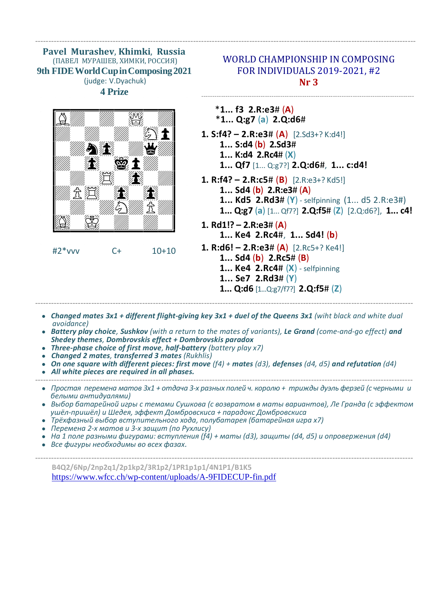**Pavel Murashev**, **Khimki**, **Russia** (ПАВЕЛ МУРАШЕВ, ХИМКИ, РОССИЯ) **9th FIDEWorldCupinComposing2021** (judge: V.Dyachuk) **4 Prize**



### #2\*vvv C+ 10+10

## WORLD CHAMPIONSHIP IN COMPOSING FOR INDIVIDUALS 2019-2021, #2 **Nr 3**

-------------------------------------------------------------------------------------------------

\***1... f3 2.R:e3**# (**A**) \***1... Q:g7** (**a**) **2.Q:d6**#

----------------------------------------------------------------------------------------------------------------------------------------------

- **1. S:f4? – 2.R:e3**# (**A**)[2.Sd3+? K:d4!] **1... S:d4** (**b**) **2.Sd3**#  **1... K:d4 2.Rc4**# (**X**)  **1... Qf7** [1... Q:g7?] **2.Q:d6**#, **1... c:d4!**
- **1. R:f4? – 2.R:c5**# (**B**) [2.R:e3+? Kd5!] **1... Sd4** (**b**) **2.R:e3**# (**A**)  **1... Kd5 2.Rd3**# (**Y**) - selfpinning (1... d5 2.R:e3#)  **1... Q:g7** (**a**) [1... Qf7?] **2.Q:f5**# (**Z**) [2.Q:d6?], **1... c4!**
- **1. Rd1!? – 2.R:e3**# (**A**)  **1... Ke4 2.Rc4**#, **1... Sd4!** (**b**)
- **1. R:d6! – 2.R:e3**# (**A**) [2.Rc5+? Ke4!]
	- **1... Sd4** (**b**) **2.Rc5**# (**B**)
	- **1... Ke4 2.Rc4**# (**X**) selfpinning
	- **1... Se7 2.Rd3**# (**Y**) **1... Q:d6** [1...Q:g7/f7?] **2.Q:f5**# (**Z**)
- **•** Changed mates 3x1 + different flight-giving key 3x1 + duel of the Queens 3x1 (wiht black and white dual  *avoidance)*

---------------------------------------------------------------------------------------------------------------------------------------------

- *● Battery play сhoice, Sushkov (with a return to the mates of variants), Le Grand (come-and-go effect) and Shedey themes, Dombrovskis effect + Dombrovskis paradox*
- *Three-phase сhoice of first move, half-battery (battery play x7)*
- *● Changed 2 mates, transferred 3 mates (Rukhlis)*
- *On one square with different pieces: first move (f4) + mates (d3), defenses (d4, d5) and refutation (d4)*
- *● All white pieces are required in all phases.*
- --------------------------------------------------------------------------------------------------------------------------------------------- *● Простая перемена матов 3х1 + отдача 3-х разных полей ч. королю + трижды дуэль ферзей (с черными и белыми антидуалями)*
	- *● Выбор батарейной игры с темами Сушкова (с возвратом в маты вариантов), Ле Гранда (c эффектом ушёл-пришёл) и Шедея, эффект Домбровскиса + парадокс Домбровскиса*
	- *● Трёхфазный выбор вступительного хода, полубатарея (батарейная игра х7)*
	- *● Перемена 2-х матов и 3-х защит (по Рухлису)*
	- *● На 1 поле разными фигурами: вступления (f4) + маты (d3), защиты (d4, d5) и опровержения (d4)*
	- *● Все фигуры необходимы во всех фазах.*

---------------------------------------------------------------------------------------------------------------------------------------------

**B4Q2/6Np/2np2q1/2p1kp2/3R1p2/1PR1p1p1/4N1P1/B1K5** https://www.wfcc.ch/wp-content/uploads/A-9FIDECUP-fin.pdf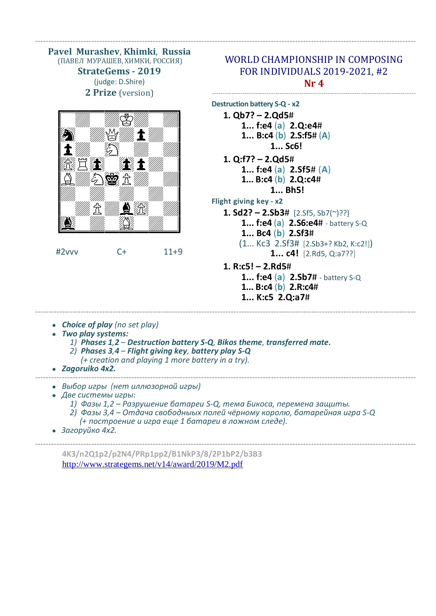**Pavel Murashev**, **Khimki**, **Russia** (ПАВЕЛ МУРАШЕВ, ХИМКИ, РОССИЯ) **StrateGems - 2019** (judge: D.Shire) **2 Prize** (version)



#2vvv C+ 11+9

## WORLD CHAMPIONSHIP IN COMPOSING FOR INDIVIDUALS 2019-2021, #2 **Nr 4**

---------------------------------------------------------------------------------------------

**Destruction battery S-Q - x2**

----------------------------------------------------------------------------------------------------------------------------------------------

- **1. Qb7? – 2.Qd5**#  **1... f:e4** (**a**) **2.Q:e4**#  **1... B:c4** (**b**) **2.S:f5**# (**A**)  **1... Sc6!**
- **1. Q:f7? – 2.Qd5**#
	- **1... f:e4** (**a**) **2.Sf5**# (**A**)  **1... B:c4** (**b**) **2.Q:c4**#
		- **1... Bh5!**
- **Flight giving key - x2**
	- **1. Sd2? – 2.Sb3**# [2.Sf5, Sb7(~)??]
		- **1... f:e4** (**a**) **2.S6:e4**# battery S-Q
			- **1... Bc4** (**b**) **2.Sf3**#
			- (1... Kc3 2.Sf3# [2.Sb3+? Kb2, K:c2!])
				- **1... c4!** [2.Rd5, Q:a7??]
	- **1. R:c5! – 2.Rd5**#
		- **1... f:e4** (**a**) **2.Sb7**# battery S-Q  **1... B:c4** (**b**) **2.R:c4**#
		- **1... K:c5 2.Q:a7**#

- *● Choice of play (no set play)*
- *● Two play systems:*
	- *1) Phases 1,2 Destruction battery S-Q, Bikos theme, transferred mate.*
	- *2) Phases 3,4 Flight giving key, battery play S-Q*
		- *(+ creation and playing 1 more battery in a try).*
- *● Zagoruiko 4x2.*
- ---------------------------------------------------------------------------------------------------------------------------------------------- *● Выбор игры (нет иллюзорной игры)* 
	- *● Две системы игры:*
		- *1) Фазы 1,2 Разрушение батареи S-Q, тема Бикоса, перемена защиты.*
		- *2) Фазы 3,4 Отдача свободныых полей чёрному королю, батарейная игра S-Q (+ построение и игра еще 1 батареи в ложном следе).*

----------------------------------------------------------------------------------------------------------------------------------------------

----------------------------------------------------------------------------------------------------------------------------------------------

*● Загоруйко 4x2.*

**4K3/n2Q1p2/p2N4/PRp1pp2/B1NkP3/8/2P1bP2/b3B3** http://www.strategems.net/v14/award/2019/M2.pdf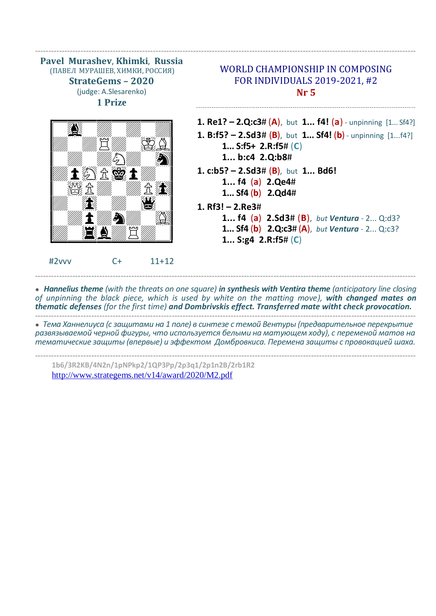**Pavel Murashev**, **Khimki**, **Russia** (ПАВЕЛ МУРАШЕВ, ХИМКИ, РОССИЯ) **StrateGems – 2020** (judge: A.Slesarenko) **1 Prize**  $\overbrace{ \qquad \qquad }$ NOpOPOPOPQ NAMA RUMA 1992  $\blacksquare$  $\mathbb{Z}$  is  $\mathbb{Z} \otimes \mathbb{Z}$  if  $\mathbb{Z}$ NORO WARD New York Hotel Contract of the Contract of the Contract of the Contract of the Contract of the Contract of the  $\blacksquare$ NPOZOPU KORUMUZIKO U RSSSSSSSST #2vvv C+ 11+12 WORLD CHAMPIONSHIP IN COMPOSING FOR INDIVIDUALS 2019-2021, #2 **Nr 5** ---------------------------------------------------------------------------------------------------- **1. Re1? – 2.Q:c3**# (**A**), but **1... f4!** (**a**) - unpinning [1... Sf4?] **1. B:f5? – 2.Sd3**# (**B**), but **1... Sf4!** (**b**) - unpinning [1...f4?]  **1... S:f5+ 2.R:f5**# (**C**)  **1... b:c4 2.Q:b8**# **1. c:b5? – 2.Sd3**# (**B**), but **1... Bd6! 1... f4** (**a**) **2.Qe4**#  **1... Sf4** (**b**) **2.Qd4**# **1. Rf3! – 2.Re3**#  **1... f4** (**a**) **2.Sd3**# (**B**), *but Ventura* - 2... Q:d3?  **1... Sf4** (**b**) **2.Q:c3**# (**A**), *but Ventura* - 2... Q:c3?  **1... S:g4 2.R:f5**# (**C**) ---------------------------------------------------------------------------------------------------------------------------------------------- *● Hannelius theme (with the threats on one square) in synthesis with Ventira theme (anticipatory line closing of unpinning the black piece, which is used by white on the matting move), with changed mates on thematic defenses (for the first time) and Dombrivskis effect. Transferred mate witht check provocation.* ---------------------------------------------------------------------------------------------------------------------------------------------- *● Тема Ханнелиуса (с защитами на 1 поле) в синтезе с темой Вентуры (предварительное перекрытие*

----------------------------------------------------------------------------------------------------------------------------------------------

*развязываемой черной фигуры, что используется белыми на матующем ходу), с переменой матов на тематические защиты (впервые) и эффектом Домбровкиса. Перемена защиты с провокацией шаха.*

----------------------------------------------------------------------------------------------------------------------------------------------

**1b6/3R2KB/4N2n/1pNPkp2/1QP3Pp/2p3q1/2p1n2B/2rb1R2** http://www.strategems.net/v14/award/2020/M2.pdf